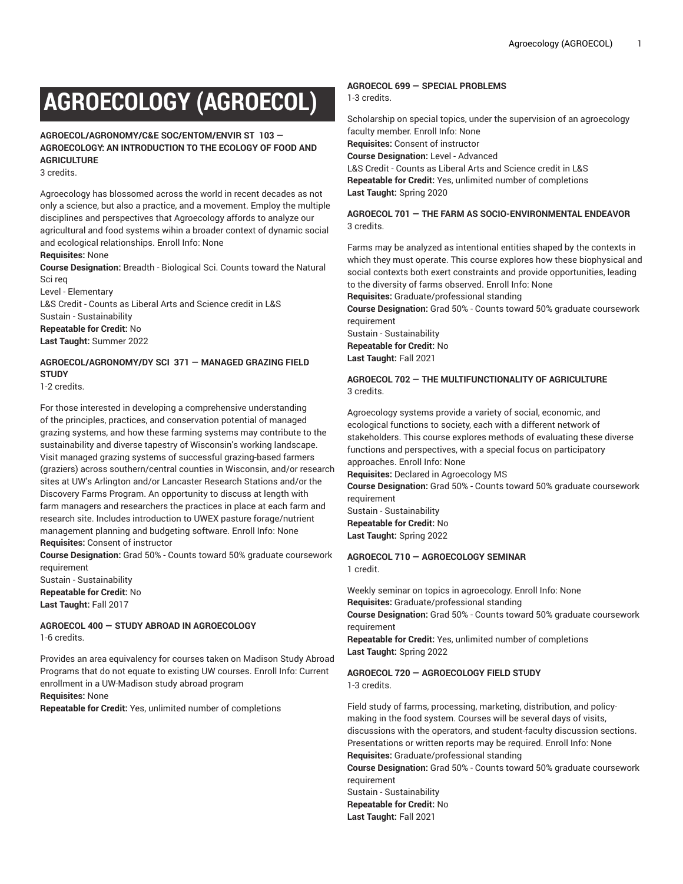# **AGROECOLOGY (AGROECOL)**

**AGROECOL/AGRONOMY/C&E SOC/ENTOM/ENVIR ST 103 — AGROECOLOGY: AN INTRODUCTION TO THE ECOLOGY OF FOOD AND AGRICULTURE**

3 credits.

Agroecology has blossomed across the world in recent decades as not only a science, but also a practice, and a movement. Employ the multiple disciplines and perspectives that Agroecology affords to analyze our agricultural and food systems wihin a broader context of dynamic social and ecological relationships. Enroll Info: None

#### **Requisites:** None

**Course Designation:** Breadth - Biological Sci. Counts toward the Natural Sci req

Level - Elementary L&S Credit - Counts as Liberal Arts and Science credit in L&S

Sustain - Sustainability **Repeatable for Credit:** No **Last Taught:** Summer 2022

# **AGROECOL/AGRONOMY/DY SCI 371 — MANAGED GRAZING FIELD STUDY**

1-2 credits.

For those interested in developing a comprehensive understanding of the principles, practices, and conservation potential of managed grazing systems, and how these farming systems may contribute to the sustainability and diverse tapestry of Wisconsin's working landscape. Visit managed grazing systems of successful grazing-based farmers (graziers) across southern/central counties in Wisconsin, and/or research sites at UW's Arlington and/or Lancaster Research Stations and/or the Discovery Farms Program. An opportunity to discuss at length with farm managers and researchers the practices in place at each farm and research site. Includes introduction to UWEX pasture forage/nutrient management planning and budgeting software. Enroll Info: None **Requisites:** Consent of instructor

**Course Designation:** Grad 50% - Counts toward 50% graduate coursework requirement

Sustain - Sustainability **Repeatable for Credit:** No **Last Taught:** Fall 2017

**AGROECOL 400 — STUDY ABROAD IN AGROECOLOGY** 1-6 credits.

Provides an area equivalency for courses taken on Madison Study Abroad Programs that do not equate to existing UW courses. Enroll Info: Current enrollment in a UW-Madison study abroad program **Requisites:** None

**Repeatable for Credit:** Yes, unlimited number of completions

# **AGROECOL 699 — SPECIAL PROBLEMS**

1-3 credits.

Scholarship on special topics, under the supervision of an agroecology faculty member. Enroll Info: None **Requisites:** Consent of instructor **Course Designation:** Level - Advanced L&S Credit - Counts as Liberal Arts and Science credit in L&S **Repeatable for Credit:** Yes, unlimited number of completions **Last Taught:** Spring 2020

# **AGROECOL 701 — THE FARM AS SOCIO-ENVIRONMENTAL ENDEAVOR** 3 credits.

Farms may be analyzed as intentional entities shaped by the contexts in which they must operate. This course explores how these biophysical and social contexts both exert constraints and provide opportunities, leading to the diversity of farms observed. Enroll Info: None

**Requisites:** Graduate/professional standing

**Course Designation:** Grad 50% - Counts toward 50% graduate coursework requirement

Sustain - Sustainability **Repeatable for Credit:** No **Last Taught:** Fall 2021

# **AGROECOL 702 — THE MULTIFUNCTIONALITY OF AGRICULTURE** 3 credits.

Agroecology systems provide a variety of social, economic, and ecological functions to society, each with a different network of stakeholders. This course explores methods of evaluating these diverse functions and perspectives, with a special focus on participatory approaches. Enroll Info: None **Requisites:** Declared in Agroecology MS

**Course Designation:** Grad 50% - Counts toward 50% graduate coursework requirement Sustain - Sustainability **Repeatable for Credit:** No

**Last Taught:** Spring 2022

#### **AGROECOL 710 — AGROECOLOGY SEMINAR** 1 credit.

Weekly seminar on topics in agroecology. Enroll Info: None **Requisites:** Graduate/professional standing **Course Designation:** Grad 50% - Counts toward 50% graduate coursework requirement

**Repeatable for Credit:** Yes, unlimited number of completions **Last Taught:** Spring 2022

# **AGROECOL 720 — AGROECOLOGY FIELD STUDY** 1-3 credits.

Field study of farms, processing, marketing, distribution, and policymaking in the food system. Courses will be several days of visits, discussions with the operators, and student-faculty discussion sections. Presentations or written reports may be required. Enroll Info: None **Requisites:** Graduate/professional standing **Course Designation:** Grad 50% - Counts toward 50% graduate coursework requirement Sustain - Sustainability **Repeatable for Credit:** No

**Last Taught:** Fall 2021